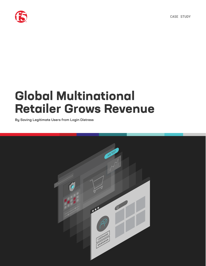



# **Global Multinational Retailer Grows Revenue**

By Saving Legitimate Users from Login Distress

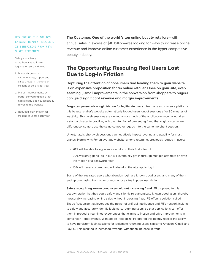HOW ONE OF THE WORLD'S LARGEST BEAUTY RETAILERS IS BENEFITING FROM F5'S SHAPE RECOGNIZE

Safely and silently re-authenticating known legitimate users is driving

- 1. Material conversion improvements, supporting sales growth in the tens of millions of dollars per year
- 2. Margin improvements by better converting traffic that had already been successfully driven to the website
- 3. Reduced login friction for millions of users each year

**The Customer: One of the world 's top online beauty retailers—**with annual sales in excess of \$10 billion–was looking for ways to increase online revenue and improve online customer experience in the hyper competitive beauty industry.

### **The Opportunity: Rescuing Real Users Lost Due to Log-in Friction**

Capturing the attention of consumers and leading them to your website is an expensive proposition for an online retailer. Once on your site, even seemingly small improvements in the conversion from shoppers to buyers can yield significant revenue and margin improvements.

**Forgotten passwords = login friction for legitimate users.** Like many e-commerce platforms, this beauty retailer's website automatically logged users out of sessions after 30 minutes of inactivity. Short web sessions are viewed across much of the application security world as a standard security practice, with the intention of preventing fraud that might occur when different consumers use the same computer logged into the same merchant session.

Unfortunately, short web sessions can negatively impact revenue and usability for most brands. Here's why: For an average website, among returning, previously logged in users:

- 70% will be able to log in successfully on their first attempt
- 20% will struggle to log in but will eventually get in through multiple attempts or even the friction of a password reset
- 10% will never succeed and will abandon the attempt to log in

Some of the frustrated users who abandon login are known good users, and many of them end up purchasing from other brands whose sites impose less friction.

**Safely recognizing known good users without increasing fraud.** F5 proposed to this beauty retailer that they could safely and silently re-authenticate known good users, thereby measurably increasing online sales without increasing fraud. F5 offers a solution called Shape Recognize that leverages the power of artificial intelligence and F5's network insights to safely and accurately identify legitimate, returning users, so that applications can offer them improved, streamlined experiences that eliminate friction and drive improvements in conversion - and revenue. With Shape Recognize, F5 offered this beauty retailer the ability to have persistent login sessions for legitimate returning users, similar to Amazon, Gmail, and PayPal. This resulted in increased revenue, without an increase in fraud.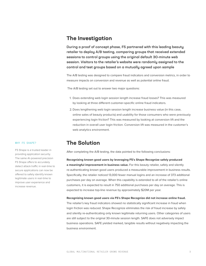#### **The Investigation**

During a proof of concept phase, F5 partnered with this leading beauty retailer to deploy A/B testing, comparing groups that received extended sessions to control groups using the original default 30-minute web session. Visitors to the retailer's website were randomly assigned to the control and test groups based on a mutually agreed upon sample

The A/B testing was designed to compare fraud indicators and conversion metrics, in order to measure impacts on conversion and revenue as well as potential online fraud.

The A/B testing set out to answer two major questions:

- 1. Does extending web login session length increase fraud losses? This was measured by looking at three different customer-specific online fraud indicators.
- 2. Does lengthening web login session length increase business value (in this case, online sales of beauty products) and usability for those consumers who were previously experiencing login friction? This was measured by looking at conversion lift and the reduction in overall user login friction. Conversion lift was measured in the customer's web analytics environment.

#### **The Solution**

After completing the A/B testing, the data pointed to the following conclusions:

**Recognizing known good users by leveraging F5's Shape Recognize safely produced a meaningful improvement in business value.** For this beauty retailer, safely and silently re-authenticating known good users produced a measurable improvement in business results. Specifically, the retailer noticed 13,000 fewer manual logins and an increase of 373 additional purchases per day on average. When this capability is extended to all of the retailer's online customers, it is expected to result in 750 additional purchases per day on average. This is expected to increase top-line revenue by approximately \$20M per year.

**Recognizing known good users via F5's Shape Recognize did not increase online fraud.**

The retailer's key fraud indicators showed no statistically significant increase in fraud when login friction was reduced. Shape Recognize eliminates the risk of fraud increase by safely and silently re-authenticating only known legitimate returning users. Other categories of users are still subject to the original 30-minute session length. SAFE does not adversely impact business operations. SAFE yielded marked, tangible results without negatively impacting the business environment.

#### WHY F5 SHAPE?

F5 Shape is a trusted leader in providing application security. The same AI-powered precision F5 Shape offers to accurately detect attack traffic in real-time to secure applications can now be offered to safely identify known legitimate users in real-time to improve user experience and increase revenue.